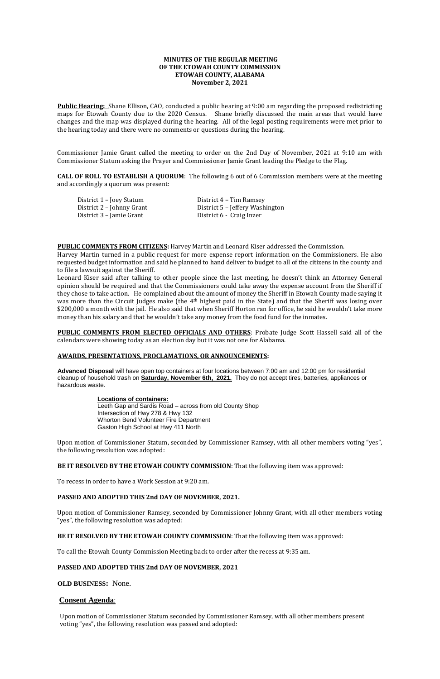# **MINUTES OF THE REGULAR MEETING OF THE ETOWAH COUNTY COMMISSION ETOWAH COUNTY, ALABAMA November 2, 2021**

**Public Hearing:** Shane Ellison, CAO, conducted a public hearing at 9:00 am regarding the proposed redistricting maps for Etowah County due to the 2020 Census. Shane briefly discussed the main areas that would have changes and the map was displayed during the hearing. All of the legal posting requirements were met prior to the hearing today and there were no comments or questions during the hearing.

Commissioner Jamie Grant called the meeting to order on the 2nd Day of November, 2021 at 9:10 am with Commissioner Statum asking the Prayer and Commissioner Jamie Grant leading the Pledge to the Flag.

**CALL OF ROLL TO ESTABLISH A QUORUM**: The following 6 out of 6 Commission members were at the meeting and accordingly a quorum was present:

| District 1 – Joey Statum  | District 4 – Tim Ramsey         |
|---------------------------|---------------------------------|
| District 2 – Johnny Grant | District 5 – Jeffery Washington |
| District 3 – Jamie Grant  | District 6 - Craig Inzer        |

**PUBLIC COMMENTS FROM CITIZENS:** Harvey Martin and Leonard Kiser addressed the Commission.

**PUBLIC COMMENTS FROM ELECTED OFFICIALS AND OTHERS:** Probate Judge Scott Hassell said all of the calendars were showing today as an election day but it was not one for Alabama.

Harvey Martin turned in a public request for more expense report information on the Commissioners. He also requested budget information and said he planned to hand deliver to budget to all of the citizens in the county and to file a lawsuit against the Sheriff.

Leonard Kiser said after talking to other people since the last meeting, he doesn't think an Attorney General opinion should be required and that the Commissioners could take away the expense account from the Sheriff if they chose to take action. He complained about the amount of money the Sheriff in Etowah County made saying it was more than the Circuit Judges make (the 4th highest paid in the State) and that the Sheriff was losing over \$200,000 a month with the jail. He also said that when Sheriff Horton ran for office, he said he wouldn't take more money than his salary and that he wouldn't take any money from the food fund for the inmates.

### **AWARDS, PRESENTATIONS, PROCLAMATIONS, OR ANNOUNCEMENTS:**

**Advanced Disposal** will have open top containers at four locations between 7:00 am and 12:00 pm for residential cleanup of household trash on **Saturday, November 6th, 2021.** They do not accept tires, batteries, appliances or hazardous waste.

> **Locations of containers:**  Leeth Gap and Sardis Road – across from old County Shop Intersection of Hwy 278 & Hwy 132 Whorton Bend Volunteer Fire Department Gaston High School at Hwy 411 North

Upon motion of Commissioner Statum, seconded by Commissioner Ramsey, with all other members voting "yes", the following resolution was adopted:

**BE IT RESOLVED BY THE ETOWAH COUNTY COMMISSION**: That the following item was approved:

To recess in order to have a Work Session at 9:20 am.

#### **PASSED AND ADOPTED THIS 2nd DAY OF NOVEMBER, 2021.**

Upon motion of Commissioner Ramsey, seconded by Commissioner Johnny Grant, with all other members voting "yes", the following resolution was adopted:

# **BE IT RESOLVED BY THE ETOWAH COUNTY COMMISSION**: That the following item was approved:

To call the Etowah County Commission Meeting back to order after the recess at 9:35 am.

## **PASSED AND ADOPTED THIS 2nd DAY OF NOVEMBER, 2021**

**OLD BUSINESS:** None.

# **Consent Agenda**:

Upon motion of Commissioner Statum seconded by Commissioner Ramsey, with all other members present voting "yes", the following resolution was passed and adopted: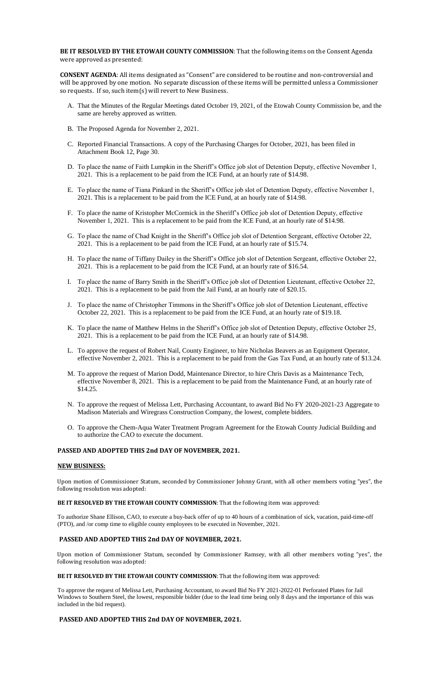**BE IT RESOLVED BY THE ETOWAH COUNTY COMMISSION**: That the following items on the Consent Agenda were approved as presented:

**CONSENT AGENDA**: All items designated as "Consent" are considered to be routine and non-controversial and will be approved by one motion. No separate discussion of these items will be permitted unless a Commissioner so requests. If so, such item(s) will revert to New Business.

- A. That the Minutes of the Regular Meetings dated October 19, 2021, of the Etowah County Commission be, and the same are hereby approved as written.
- B. The Proposed Agenda for November 2, 2021.
- C. Reported Financial Transactions. A copy of the Purchasing Charges for October, 2021, has been filed in Attachment Book 12, Page 30.
- D. To place the name of Faith Lumpkin in the Sheriff's Office job slot of Detention Deputy, effective November 1, 2021. This is a replacement to be paid from the ICE Fund, at an hourly rate of \$14.98.
- E. To place the name of Tiana Pinkard in the Sheriff's Office job slot of Detention Deputy, effective November 1, 2021. This is a replacement to be paid from the ICE Fund, at an hourly rate of \$14.98.
- F. To place the name of Kristopher McCormick in the Sheriff's Office job slot of Detention Deputy, effective November 1, 2021. This is a replacement to be paid from the ICE Fund, at an hourly rate of \$14.98.
- G. To place the name of Chad Knight in the Sheriff's Office job slot of Detention Sergeant, effective October 22, 2021. This is a replacement to be paid from the ICE Fund, at an hourly rate of \$15.74.
- H. To place the name of Tiffany Dailey in the Sheriff's Office job slot of Detention Sergeant, effective October 22, 2021. This is a replacement to be paid from the ICE Fund, at an hourly rate of \$16.54.
- I. To place the name of Barry Smith in the Sheriff's Office job slot of Detention Lieutenant, effective October 22, 2021. This is a replacement to be paid from the Jail Fund, at an hourly rate of \$20.15.
- J. To place the name of Christopher Timmons in the Sheriff's Office job slot of Detention Lieutenant, effective October 22, 2021. This is a replacement to be paid from the ICE Fund, at an hourly rate of \$19.18.
- K. To place the name of Matthew Helms in the Sheriff's Office job slot of Detention Deputy, effective October 25, 2021. This is a replacement to be paid from the ICE Fund, at an hourly rate of \$14.98.
- L. To approve the request of Robert Nail, County Engineer, to hire Nicholas Beavers as an Equipment Operator, effective November 2, 2021. This is a replacement to be paid from the Gas Tax Fund, at an hourly rate of \$13.24.
- M. To approve the request of Marion Dodd, Maintenance Director, to hire Chris Davis as a Maintenance Tech, effective November 8, 2021. This is a replacement to be paid from the Maintenance Fund, at an hourly rate of \$14.25.
- N. To approve the request of Melissa Lett, Purchasing Accountant, to award Bid No FY 2020-2021-23 Aggregate to Madison Materials and Wiregrass Construction Company, the lowest, complete bidders.
- O. To approve the Chem-Aqua Water Treatment Program Agreement for the Etowah County Judicial Building and to authorize the CAO to execute the document.

## **PASSED AND ADOPTED THIS 2nd DAY OF NOVEMBER, 2021.**

### **NEW BUSINESS:**

Upon motion of Commissioner Statum, seconded by Commissioner Johnny Grant, with all other members voting "yes", the following resolution was adopted:

### **BE IT RESOLVED BY THE ETOWAH COUNTY COMMISSION**: That the following item was approved:

To authorize Shane Ellison, CAO, to execute a buy-back offer of up to 40 hours of a combination of sick, vacation, paid-time-off (PTO), and /or comp time to eligible county employees to be executed in November, 2021.

## **PASSED AND ADOPTED THIS 2nd DAY OF NOVEMBER, 2021.**

Upon motion of Commissioner Statum, seconded by Commissioner Ramsey, with all other members voting "yes", the following resolution was adopted:

### **BE IT RESOLVED BY THE ETOWAH COUNTY COMMISSION**: That the following item was approved:

To approve the request of Melissa Lett, Purchasing Accountant, to award Bid No FY 2021-2022-01 Perforated Plates for Jail Windows to Southern Steel, the lowest, responsible bidder (due to the lead time being only 8 days and the importance of this was included in the bid request).

## **PASSED AND ADOPTED THIS 2nd DAY OF NOVEMBER, 2021.**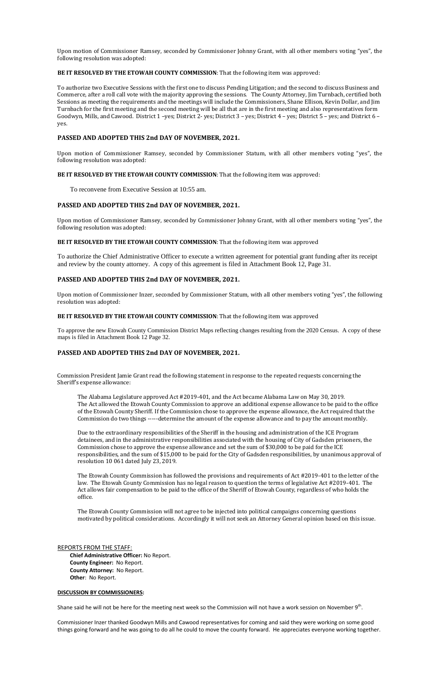Upon motion of Commissioner Ramsey, seconded by Commissioner Johnny Grant, with all other members voting "yes", the following resolution was adopted:

**BE IT RESOLVED BY THE ETOWAH COUNTY COMMISSION**: That the following item was approved:

To authorize two Executive Sessions with the first one to discuss Pending Litigation; and the second to discuss Business and Commerce, after a roll call vote with the majority approving the sessions. The County Attorney, Jim Turnbach, certified both Sessions as meeting the requirements and the meetings will include the Commissioners, Shane Ellison, Kevin Dollar, and Jim Turnbach for the first meeting and the second meeting will be all that are in the first meeting and also representatives form Goodwyn, Mills, and Cawood. District 1 –yes; District 2- yes; District 3 – yes; District 4 – yes; District 5 – yes; and District 6 – yes.

### **PASSED AND ADOPTED THIS 2nd DAY OF NOVEMBER, 2021.**

Upon motion of Commissioner Ramsey, seconded by Commissioner Statum, with all other members voting "yes", the following resolution was adopted:

**BE IT RESOLVED BY THE ETOWAH COUNTY COMMISSION**: That the following item was approved:

To reconvene from Executive Session at 10:55 am.

## **PASSED AND ADOPTED THIS 2nd DAY OF NOVEMBER, 2021.**

Upon motion of Commissioner Ramsey, seconded by Commissioner Johnny Grant, with all other members voting "yes", the following resolution was adopted:

#### **BE IT RESOLVED BY THE ETOWAH COUNTY COMMISSION**: That the following item was approved

To authorize the Chief Administrative Officer to execute a written agreement for potential grant funding after its receipt and review by the county attorney. A copy of this agreement is filed in Attachment Book 12, Page 31.

### **PASSED AND ADOPTED THIS 2nd DAY OF NOVEMBER, 2021.**

Upon motion of Commissioner Inzer, seconded by Commissioner Statum, with all other members voting "yes", the following resolution was adopted:

### **BE IT RESOLVED BY THE ETOWAH COUNTY COMMISSION**: That the following item was approved

To approve the new Etowah County Commission District Maps reflecting changes resulting from the 2020 Census. A copy of these maps is filed in Attachment Book 12 Page 32.

### **PASSED AND ADOPTED THIS 2nd DAY OF NOVEMBER, 2021.**

Commission President Jamie Grant read the following statement in response to the repeated requests concerning the Sheriff's expense allowance:

The Alabama Legislature approved Act #2019-401, and the Act became Alabama Law on May 30, 2019. The Act allowed the Etowah County Commission to approve an additional expense allowance to be paid to the office of the Etowah County Sheriff. If the Commission chose to approve the expense allowance, the Act required that the Commission do two things -----determine the amount of the expense allowance and to pay the amount monthly.

Due to the extraordinary responsibilities of the Sheriff in the housing and administration of the ICE Program detainees, and in the administrative responsibilities associated with the housing of City of Gadsden prisoners, the Commission chose to approve the expense allowance and set the sum of \$30,000 to be paid for the ICE responsibilities, and the sum of \$15,000 to be paid for the City of Gadsden responsibilities, by unanimous approval of resolution 10 061 dated July 23, 2019.

The Etowah County Commission has followed the provisions and requirements of Act #2019-401 to the letter of the law. The Etowah County Commission has no legal reason to question the terms of legislative Act #2019-401. The Act allows fair compensation to be paid to the office of the Sheriff of Etowah County, regardless of who holds the office.

The Etowah County Commission will not agree to be injected into political campaigns concerning questions motivated by political considerations. Accordingly it will not seek an Attorney General opinion based on this issue.

### REPORTS FROM THE STAFF:

 **Chief Administrative Officer:** No Report. **County Engineer:** No Report. **County Attorney:** No Report. **Other**: No Report.

#### **DISCUSSION BY COMMISSIONERS:**

Shane said he will not be here for the meeting next week so the Commission will not have a work session on November 9<sup>th</sup>.

Commissioner Inzer thanked Goodwyn Mills and Cawood representatives for coming and said they were working on some good things going forward and he was going to do all he could to move the county forward. He appreciates everyone working together.